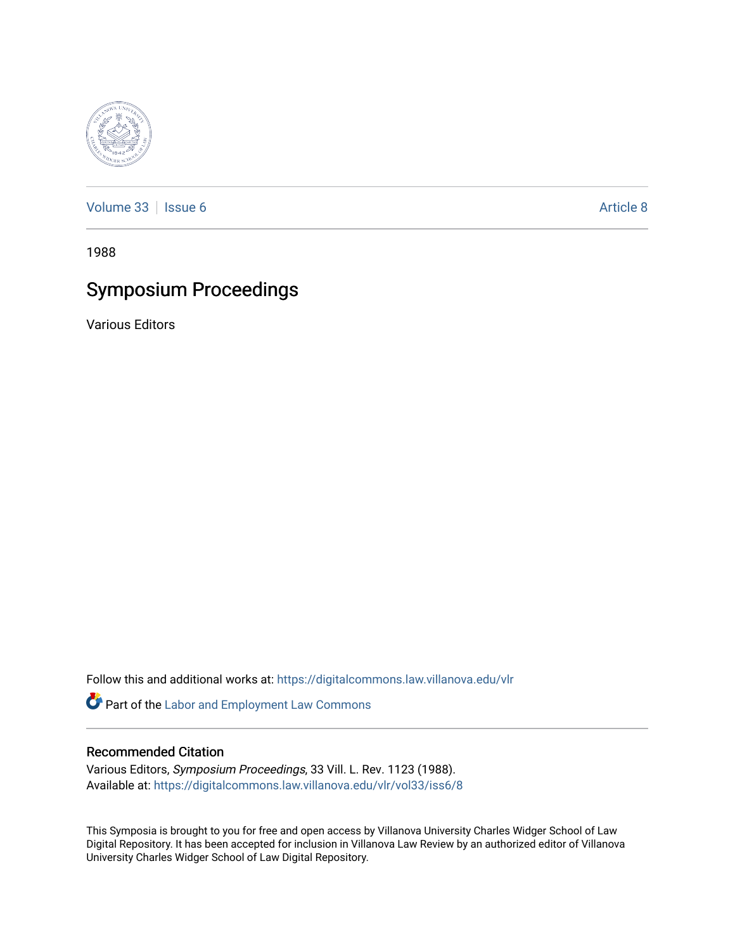

[Volume 33](https://digitalcommons.law.villanova.edu/vlr/vol33) | [Issue 6](https://digitalcommons.law.villanova.edu/vlr/vol33/iss6) Article 8

1988

# Symposium Proceedings

Various Editors

Follow this and additional works at: [https://digitalcommons.law.villanova.edu/vlr](https://digitalcommons.law.villanova.edu/vlr?utm_source=digitalcommons.law.villanova.edu%2Fvlr%2Fvol33%2Fiss6%2F8&utm_medium=PDF&utm_campaign=PDFCoverPages)

Part of the [Labor and Employment Law Commons](http://network.bepress.com/hgg/discipline/909?utm_source=digitalcommons.law.villanova.edu%2Fvlr%2Fvol33%2Fiss6%2F8&utm_medium=PDF&utm_campaign=PDFCoverPages)

## Recommended Citation

Various Editors, Symposium Proceedings, 33 Vill. L. Rev. 1123 (1988). Available at: [https://digitalcommons.law.villanova.edu/vlr/vol33/iss6/8](https://digitalcommons.law.villanova.edu/vlr/vol33/iss6/8?utm_source=digitalcommons.law.villanova.edu%2Fvlr%2Fvol33%2Fiss6%2F8&utm_medium=PDF&utm_campaign=PDFCoverPages) 

This Symposia is brought to you for free and open access by Villanova University Charles Widger School of Law Digital Repository. It has been accepted for inclusion in Villanova Law Review by an authorized editor of Villanova University Charles Widger School of Law Digital Repository.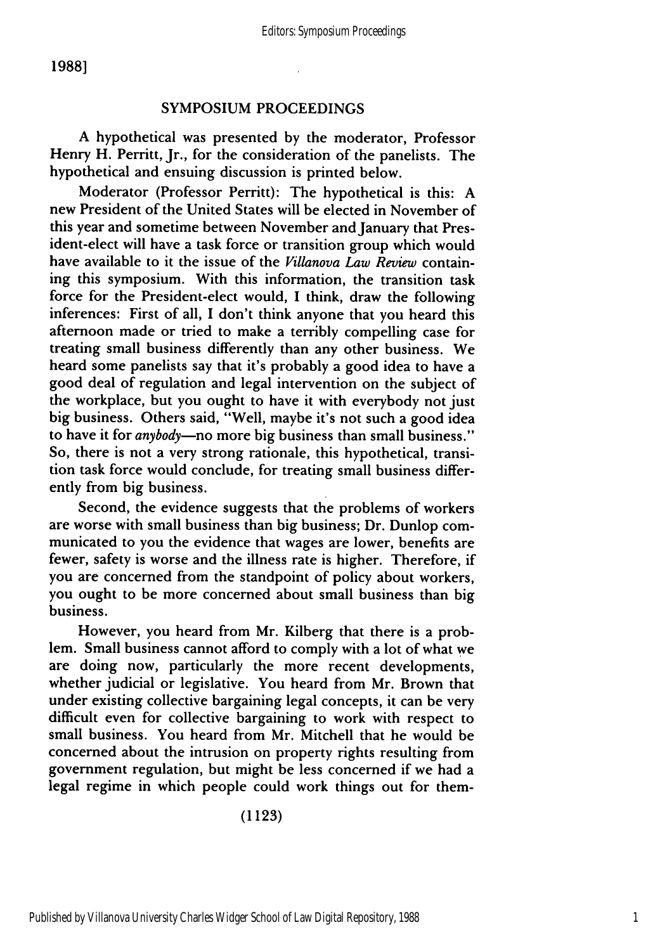#### SYMPOSIUM PROCEEDINGS

A hypothetical was presented by the moderator, Professor Henry H. Perritt, Jr., for the consideration of the panelists. The hypothetical and ensuing discussion is printed below.

Moderator (Professor Perritt): The hypothetical is this: A new President of the United States will be elected in November of this year and sometime between November and January that President-elect will have a task force or transition group which would have available to it the issue of the *Villanova Law Review* containing this symposium. With this information, the transition task force for the President-elect would, I think, draw the following inferences: First of all, I don't think anyone that you heard this afternoon made or tried to make a terribly compelling case for treating small business differently than any other business. We heard some panelists say that it's probably a good idea to have a good deal of regulation and legal intervention on the subject of the workplace, but you ought to have it with everybody not just big business. Others said, "Well, maybe it's not such a good idea to have it for *anybody-no* more big business than small business." So, there is not a very strong rationale, this hypothetical, transition task force would conclude, for treating small business differently from big business.

Second, the evidence suggests that the problems of workers are worse with small business than big business; Dr. Dunlop communicated to you the evidence that wages are lower, benefits are fewer, safety is worse and the illness rate is higher. Therefore, if you are concerned from the standpoint of policy about workers, you ought to be more concerned about small business than big business.

However, you heard from Mr. Kilberg that there is a problem. Small business cannot afford to comply with a lot of what we are doing now, particularly the more recent developments, whether judicial or legislative. You heard from Mr. Brown that under existing collective bargaining legal concepts, it can be very difficult even for collective bargaining to work with respect to small business. You heard from Mr. Mitchell that he would be concerned about the intrusion on property rights resulting from government regulation, but might be less concerned if we had a legal regime in which people could work things out for them-

(1123)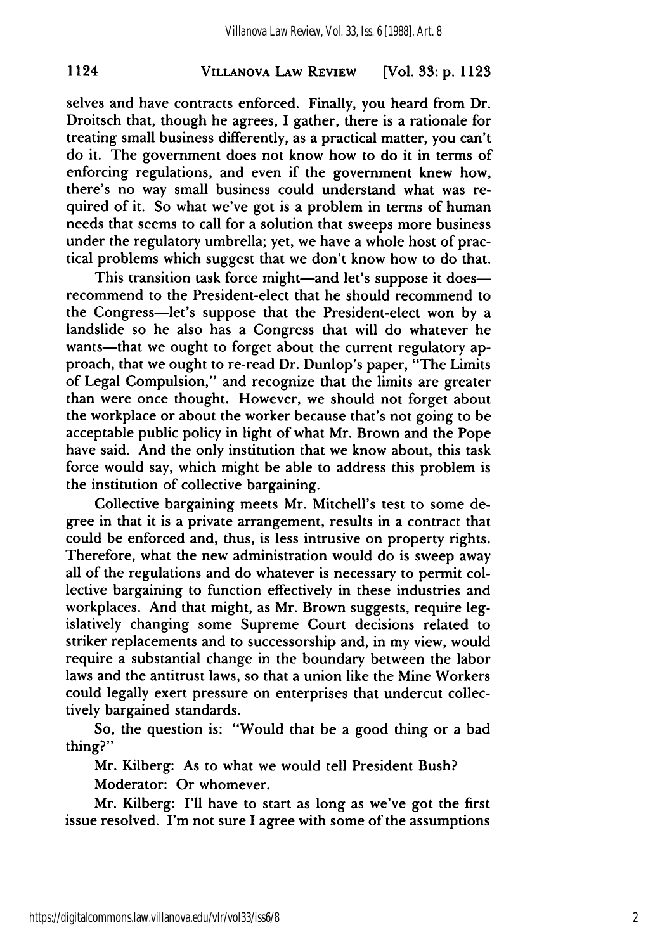## **VILLANOVA** LAW REVIEW **1124 [Vol. 33: p. 1123**

selves and have contracts enforced. Finally, you heard from Dr. Droitsch that, though he agrees, I gather, there is a rationale for treating small business differently, as a practical matter, you can't do it. The government does not know how to do it in terms of enforcing regulations, and even if the government knew how, there's no way small business could understand what was required of it. So what we've got is a problem in terms of human needs that seems to call for a solution that sweeps more business under the regulatory umbrella; yet, we have a whole host of practical problems which suggest that we don't know how to do that.

This transition task force might-and let's suppose it doesrecommend to the President-elect that he should recommend to the Congress-let's suppose that the President-elect won **by** a landslide so he also has a Congress that will do whatever he wants-that we ought to forget about the current regulatory approach, that we ought to re-read Dr. Dunlop's paper, "The Limits of Legal Compulsion," and recognize that the limits are greater than were once thought. However, we should not forget about the workplace or about the worker because that's not going to be acceptable public policy in light of what Mr. Brown and the Pope have said. And the only institution that we know about, this task force would say, which might be able to address this problem is the institution of collective bargaining.

Collective bargaining meets Mr. Mitchell's test to some degree in that it is a private arrangement, results in a contract that could be enforced and, thus, is less intrusive on property rights. Therefore, what the new administration would do is sweep away all of the regulations and do whatever is necessary to permit collective bargaining to function effectively in these industries and workplaces. And that might, as Mr. Brown suggests, require legislatively changing some Supreme Court decisions related to striker replacements and to successorship and, in my view, would require a substantial change in the boundary between the labor laws and the antitrust laws, so that a union like the Mine Workers could legally exert pressure on enterprises that undercut collectively bargained standards.

So, the question is: "Would that be a good thing or a bad thing?"

Mr. Kilberg: As to what we would tell President Bush? Moderator: Or whomever.

Mr. Kilberg: I'll have to start as long as we've got the first issue resolved. I'm not sure I agree with some of the assumptions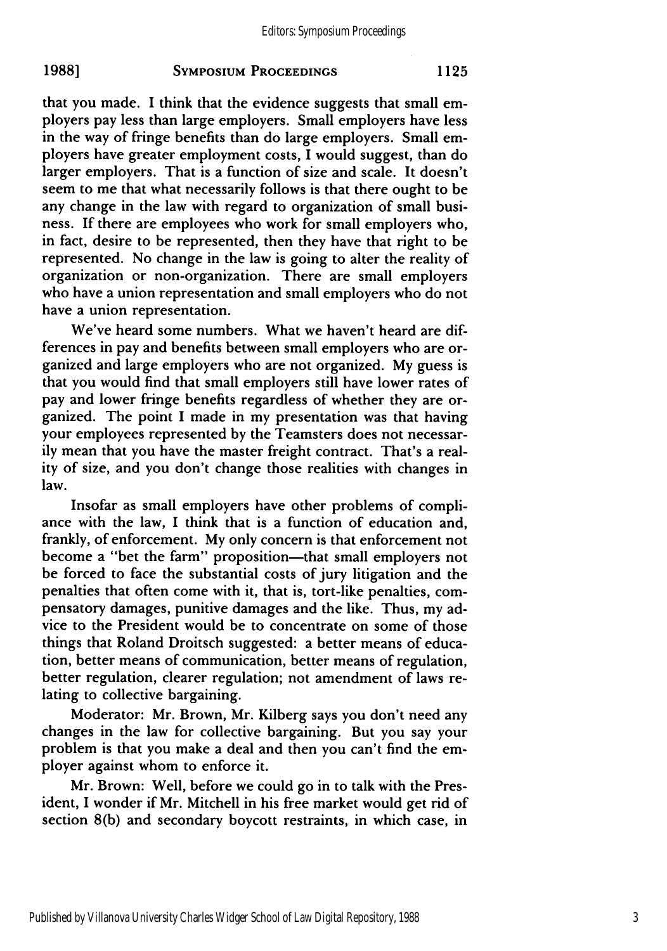that you made. I think that the evidence suggests that small employers pay less than large employers. Small employers have less in the way of fringe benefits than do large employers. Small employers have greater employment costs, I would suggest, than do larger employers. That is a function of size and scale. It doesn't seem to me that what necessarily follows is that there ought to be any change in the law with regard to organization of small business. If there are employees who work for small employers who, in fact, desire to be represented, then they have that right to be represented. No change in the law is going to alter the reality of organization or non-organization. There are small employers who have a union representation and small employers who do not have a union representation.

We've heard some numbers. What we haven't heard are differences in pay and benefits between small employers who are organized and large employers who are not organized. My guess is that you would find that small employers still have lower rates of pay and lower fringe benefits regardless of whether they are organized. The point I made in my presentation was that having your employees represented by the Teamsters does not necessarily mean that you have the master freight contract. That's a reality of size, and you don't change those realities with changes in law.

Insofar as small employers have other problems of compliance with the law, I think that is a function of education and, frankly, of enforcement. My only concern is that enforcement not become a "bet the farm" proposition-that small employers not be forced to face the substantial costs of jury litigation and the penalties that often come with it, that is, tort-like penalties, compensatory damages, punitive damages and the like. Thus, my advice to the President would be to concentrate on some of those things that Roland Droitsch suggested: a better means of education, better means of communication, better means of regulation, better regulation, clearer regulation; not amendment of laws relating to collective bargaining.

Moderator: Mr. Brown, Mr. Kilberg says you don't need any changes in the law for collective bargaining. But you say your problem is that you make a deal and then you can't find the employer against whom to enforce it.

Mr. Brown: Well, before we could go in to talk with the President, I wonder if Mr. Mitchell in his free market would get rid of section 8(b) and secondary boycott restraints, in which case, in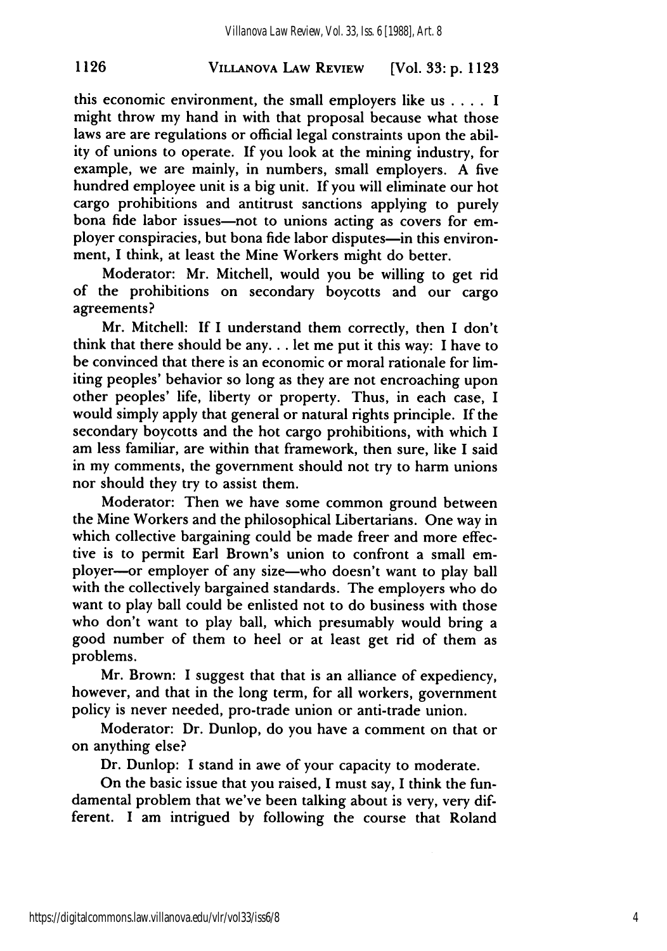## **VILLANOVA LAW REVIEW 1126** [Vol. **33: p. 1123**

this economic environment, the small employers like us **....** I might throw my hand in with that proposal because what those laws are are regulations or official legal constraints upon the ability of unions to operate. If you look at the mining industry, for example, we are mainly, in numbers, small employers. A five hundred employee unit is a big unit. If you will eliminate our hot cargo prohibitions and antitrust sanctions applying to purely bona fide labor issues—not to unions acting as covers for employer conspiracies, but bona fide labor disputes-in this environment, I think, at least the Mine Workers might do better.

Moderator: Mr. Mitchell, would you be willing to get rid of the prohibitions on secondary boycotts and our cargo agreements?

Mr. Mitchell: If I understand them correctly, then I don't think that there should be any... let me put it this way: I have to be convinced that there is an economic or moral rationale for limiting peoples' behavior so long as they are not encroaching upon other peoples' life, liberty or property. Thus, in each case, I would simply apply that general or natural rights principle. If the secondary boycotts and the hot cargo prohibitions, with which I am less familiar, are within that framework, then sure, like I said in my comments, the government should not try to harm unions nor should they try to assist them.

Moderator: Then we have some common ground between the Mine Workers and the philosophical Libertarians. One way in which collective bargaining could be made freer and more effective is to permit Earl Brown's union to confront a small employer-or employer of any size-who doesn't want to play ball with the collectively bargained standards. The employers who do want to play ball could be enlisted not to do business with those who don't want to play ball, which presumably would bring a good number of them to heel or at least get rid of them as problems.

Mr. Brown: I suggest that that is an alliance of expediency, however, and that in the long term, for all workers, government policy is never needed, pro-trade union or anti-trade union.

Moderator: Dr. Dunlop, do you have a comment on that or on anything else?

Dr. Dunlop: I stand in awe of your capacity to moderate.

On the basic issue that you raised, I must say, I think the fundamental problem that we've been talking about is very, very different. I am intrigued by following the course that Roland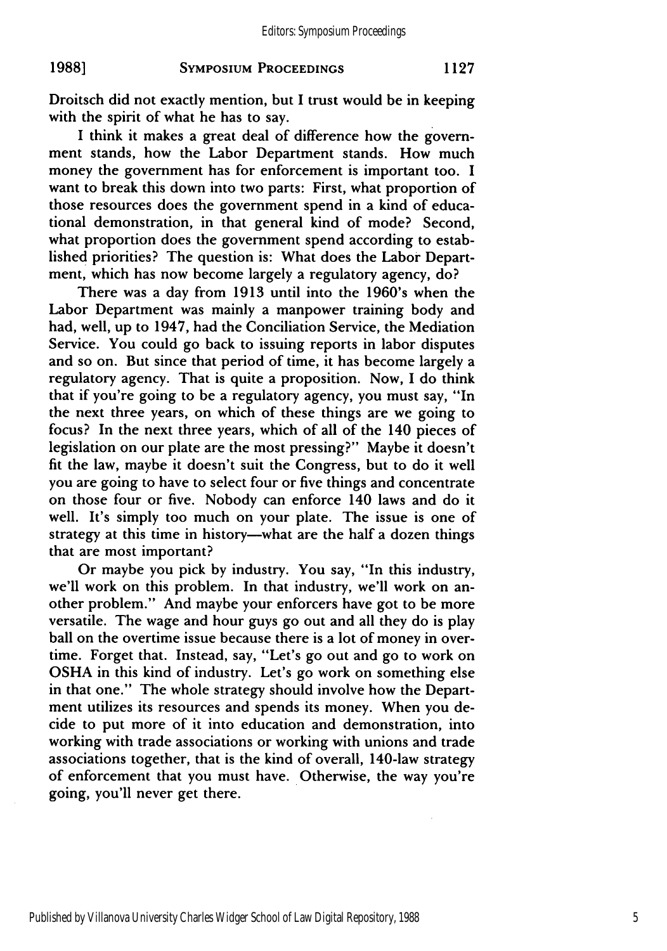Droitsch did not exactly mention, but I trust would be in keeping with the spirit of what he has to say.

I think it makes a great deal of difference how the government stands, how the Labor Department stands. How much money the government has for enforcement is important too. I want to break this down into two parts: First, what proportion of those resources does the government spend in a kind of educational demonstration, in that general kind of mode? Second, what proportion does the government spend according to established priorities? The question is: What does the Labor Department, which has now become largely a regulatory agency, do?

There was a day from 1913 until into the 1960's when the Labor Department was mainly a manpower training body and had, well, up to 1947, had the Conciliation Service, the Mediation Service. You could go back to issuing reports in labor disputes and so on. But since that period of time, it has become largely a regulatory agency. That is quite a proposition. Now, I do think that if you're going to be a regulatory agency, you must say, "In the next three years, on which of these things are we going to focus? In the next three years, which of all of the 140 pieces of legislation on our plate are the most pressing?" Maybe it doesn't fit the law, maybe it doesn't suit the Congress, but to do it well you are going to have to select four or five things and concentrate on those four or five. Nobody can enforce 140 laws and do it well. It's simply too much on your plate. The issue is one of strategy at this time in history-what are the half a dozen things that are most important?

Or maybe you pick by industry. You say, "In this industry, we'll work on this problem. In that industry, we'll work on another problem." And maybe your enforcers have got to be more versatile. The wage and hour guys go out and all they do is play ball on the overtime issue because there is a lot of money in overtime. Forget that. Instead, say, "Let's go out and go to work on OSHA in this kind of industry. Let's go work on something else in that one." The whole strategy should involve how the Department utilizes its resources and spends its money. When you decide to put more of it into education and demonstration, into working with trade associations or working with unions and trade associations together, that is the kind of overall, 140-law strategy of enforcement that you must have. Otherwise, the way you're going, you'll never get there.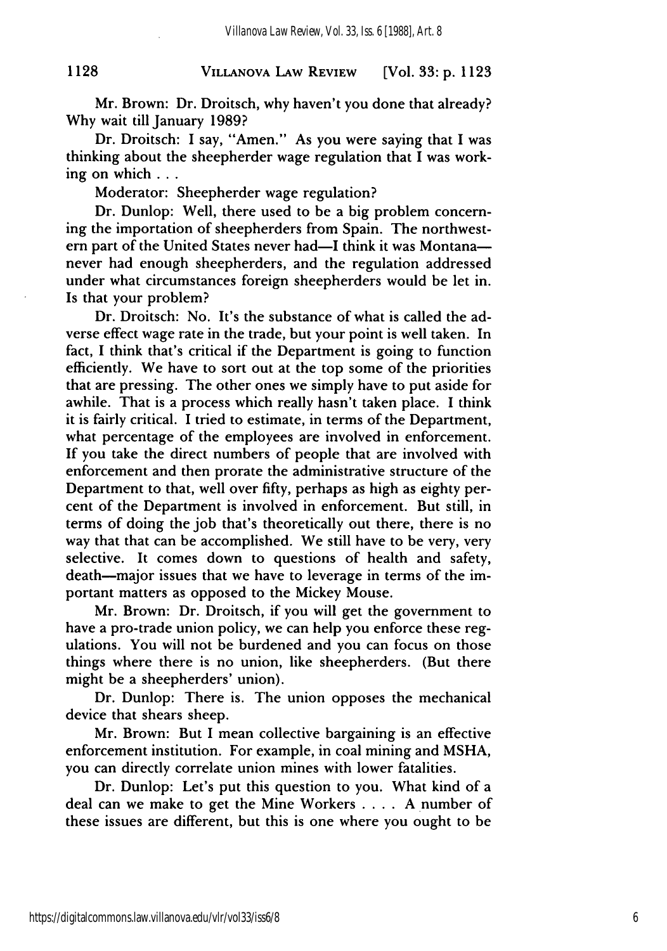## **VILLANOVA** LAW **REVIEW 1128** [Vol. **33: p. 1123**

Mr. Brown: Dr. Droitsch, why haven't you done that already? Why wait till January 1989?

Dr. Droitsch: I say, "Amen." As you were saying that I was thinking about the sheepherder wage regulation that I was working on which **...**

Moderator: Sheepherder wage regulation?

Dr. Dunlop: Well, there used to be a big problem concerning the importation of sheepherders from Spain. The northwestern part of the United States never had—I think it was Montana never had enough sheepherders, and the regulation addressed under what circumstances foreign sheepherders would be let in. Is that your problem?

Dr. Droitsch: No. It's the substance of what is called the adverse effect wage rate in the trade, but your point is well taken. In fact, I think that's critical if the Department is going to function efficiently. We have to sort out at the top some of the priorities that are pressing. The other ones we simply have to put aside for awhile. That is a process which really hasn't taken place. I think it is fairly critical. I tried to estimate, in terms of the Department, what percentage of the employees are involved in enforcement. If you take the direct numbers of people that are involved with enforcement and then prorate the administrative structure of the Department to that, well over fifty, perhaps as high as eighty percent of the Department is involved in enforcement. But still, in terms of doing the job that's theoretically out there, there is no way that that can be accomplished. We still have to be very, very selective. It comes down to questions of health and safety, death-major issues that we have to leverage in terms of the important matters as opposed to the Mickey Mouse.

Mr. Brown: Dr. Droitsch, if you will get the government to have a pro-trade union policy, we can help you enforce these regulations. You will not be burdened and you can focus on those things where there is no union, like sheepherders. (But there might be a sheepherders' union).

Dr. Dunlop: There is. The union opposes the mechanical device that shears sheep.

Mr. Brown: But I mean collective bargaining is an effective enforcement institution. For example, in coal mining and MSHA, you can directly correlate union mines with lower fatalities.

Dr. Dunlop: Let's put this question to you. What kind of a deal can we make to get the Mine Workers .... A number of these issues are different, but this is one where you ought to be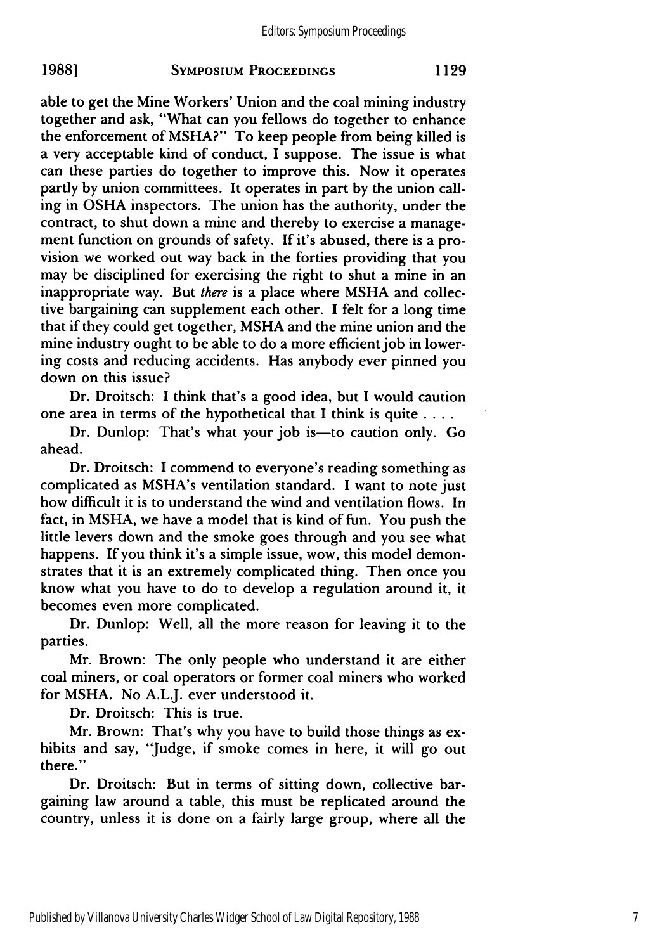able to get the Mine Workers' Union and the coal mining industry together and ask, "What can you fellows do together to enhance the enforcement of MSHA?" To keep people from being killed is a very acceptable kind of conduct, I suppose. The issue is what can these parties do together to improve this. Now it operates partly by union committees. It operates in part by the union calling in OSHA inspectors. The union has the authority, under the contract, to shut down a mine and thereby to exercise a management function on grounds of safety. If it's abused, there is a provision we worked out way back in the forties providing that you may be disciplined for exercising the right to shut a mine in an inappropriate way. But *there* is a place where MSHA and collective bargaining can supplement each other. I felt for a long time that if they could get together, MSHA and the mine union and the mine industry ought to be able to do a more efficient job in lowering costs and reducing accidents. Has anybody ever pinned you down on this issue?

Dr. Droitsch: I think that's a good idea, but I would caution one area in terms of the hypothetical that I think is quite **....**

Dr. Dunlop: That's what your job is—to caution only. Go ahead.

Dr. Droitsch: I commend to everyone's reading something as complicated as MSHA's ventilation standard. I want to note just how difficult it is to understand the wind and ventilation flows. In fact, in MSHA, we have a model that is kind of fun. You push the little levers down and the smoke goes through and you see what happens. If you think it's a simple issue, wow, this model demonstrates that it is an extremely complicated thing. Then once you know what you have to do to develop a regulation around it, it becomes even more complicated.

Dr. Dunlop: Well, all the more reason for leaving it to the parties.

Mr. Brown: The only people who understand it are either coal miners, or coal operators or former coal miners who worked for MSHA. No A.L.J. ever understood it.

Dr. Droitsch: This is true.

Mr. Brown: That's why you have to build those things as exhibits and say, "Judge, if smoke comes in here, it will go out there."

Dr. Droitsch: But in terms of sitting down, collective bargaining law around a table, this must be replicated around the country, unless it is done on a fairly large group, where all the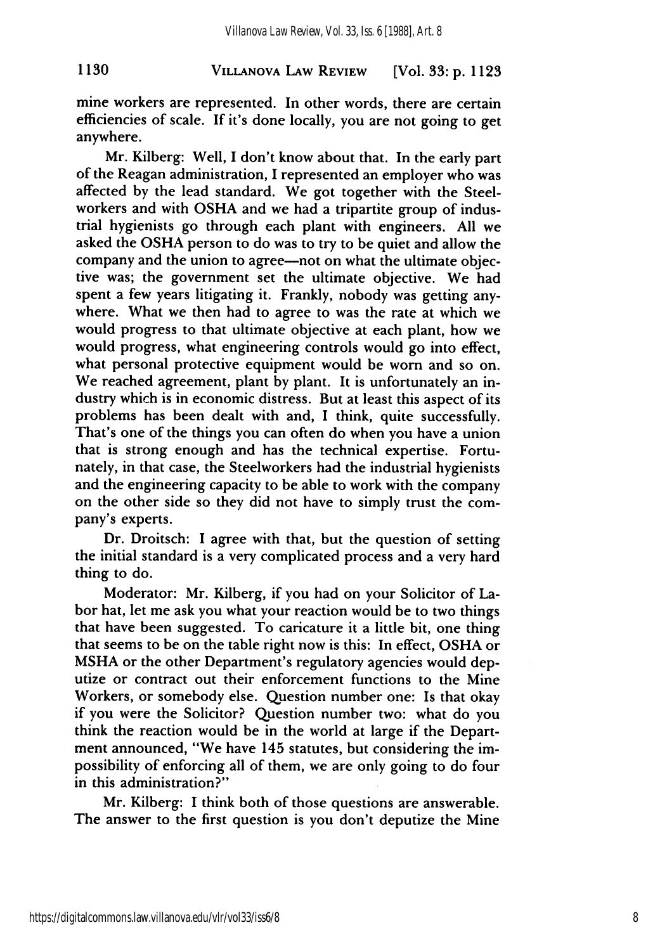## **VILLANOVA** LAW REVIEW **1130** [Vol. **33: p. 1123**

mine workers are represented. In other words, there are certain efficiencies of scale. If it's done locally, you are not going to get anywhere.

Mr. Kilberg: Well, I don't know about that. In the early part of the Reagan administration, I represented an employer who was affected by the lead standard. We got together with the Steelworkers and with OSHA and we had a tripartite group of industrial hygienists go through each plant with engineers. All we asked the OSHA person to do was to try to be quiet and allow the company and the union to agree—not on what the ultimate objective was; the government set the ultimate objective. We had spent a few years litigating it. Frankly, nobody was getting anywhere. What we then had to agree to was the rate at which we would progress to that ultimate objective at each plant, how we would progress, what engineering controls would go into effect, what personal protective equipment would be worn and so on. We reached agreement, plant by plant. It is unfortunately an industry which is in economic distress. But at least this aspect of its problems has been dealt with and, I think, quite successfully. That's one of the things you can often do when you have a union that is strong enough and has the technical expertise. Fortunately, in that case, the Steelworkers had the industrial hygienists and the engineering capacity to be able to work with the company on the other side so they did not have to simply trust the company's experts.

Dr. Droitsch: I agree with that, but the question of setting the initial standard is a very complicated process and a very hard thing to do.

Moderator: Mr. Kilberg, if you had on your Solicitor of Labor hat, let me ask you what your reaction would be to two things that have been suggested. To caricature it a little bit, one thing that seems to be on the table right now is this: In effect, OSHA or MSHA or the other Department's regulatory agencies would deputize or contract out their enforcement functions to the Mine Workers, or somebody else. Question number one: Is that okay if you were the Solicitor? Question number two: what do you think the reaction would be in the world at large if the Department announced, "We have 145 statutes, but considering the impossibility of enforcing all of them, we are only going to do four in this administration?"

Mr. Kilberg: I think both of those questions are answerable. The answer to the first question is you don't deputize the Mine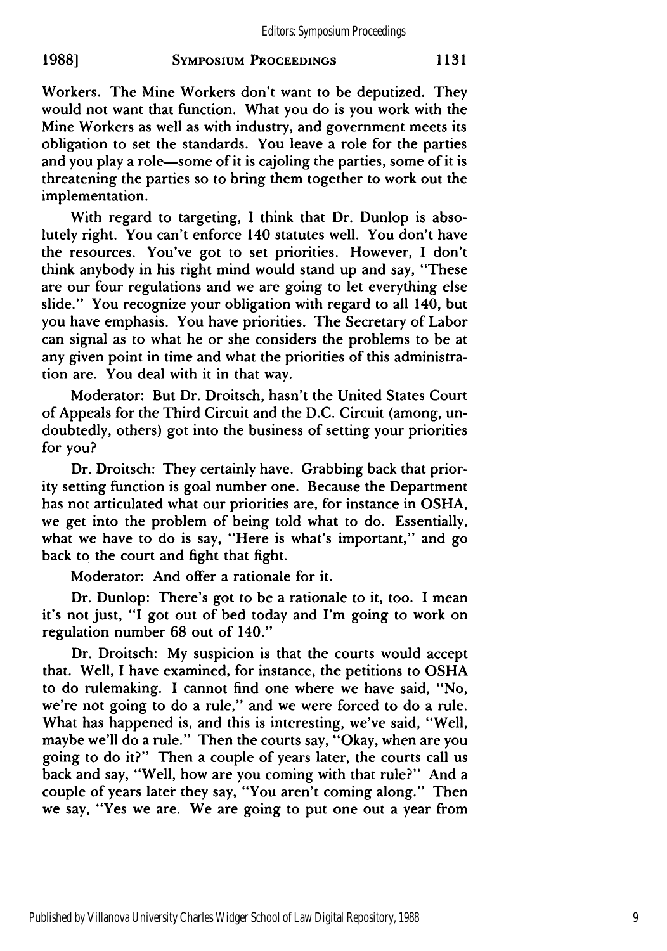Workers. The Mine Workers don't want to be deputized. They would not want that function. What you do is you work with the Mine Workers as well as with industry, and government meets its obligation to set the standards. You leave a role for the parties and you play a role—some of it is cajoling the parties, some of it is threatening the parties so to bring them together to work out the implementation.

With regard to targeting, I think that Dr. Dunlop is absolutely right. You can't enforce 140 statutes well. You don't have the resources. You've got to set priorities. However, I don't think anybody in his right mind would stand up and say, "These are our four regulations and we are going to let everything else slide." You recognize your obligation with regard to all 140, but you have emphasis. You have priorities. The Secretary of Labor can signal as to what he or she considers the problems to be at any given point in time and what the priorities of this administration are. You deal with it in that way.

Moderator: But Dr. Droitsch, hasn't the United States Court of Appeals for the Third Circuit and the D.C. Circuit (among, undoubtedly, others) got into the business of setting your priorities for you?

Dr. Droitsch: They certainly have. Grabbing back that priority setting function is goal number one. Because the Department has not articulated what our priorities are, for instance in **OSHA,** we get into the problem of being told what to do. Essentially, what we have to do is say, "Here is what's important," and go back to the court and fight that fight.

Moderator: And offer a rationale for it.

Dr. Dunlop: There's got to be a rationale to it, too. I mean it's not just, **"I** got out of bed today and I'm going to work on regulation number **68** out of 140."

Dr. Droitsch: **My** suspicion is that the courts would accept that. Well, I have examined, for instance, the petitions to **OSHA** to do rulemaking. I cannot find one where we have said, "No, we're not going to do a rule," and we were forced to do a rule. What has happened is, and this is interesting, we've said, "Well, maybe we'll do a rule." Then the courts say, "Okay, when are you going to do it?" Then a couple of years later, the courts call us back and say, "Well, how are you coming with that rule?" And a couple of years later they say, "You aren't coming along." Then we say, "Yes we are. We are going to put one out a year from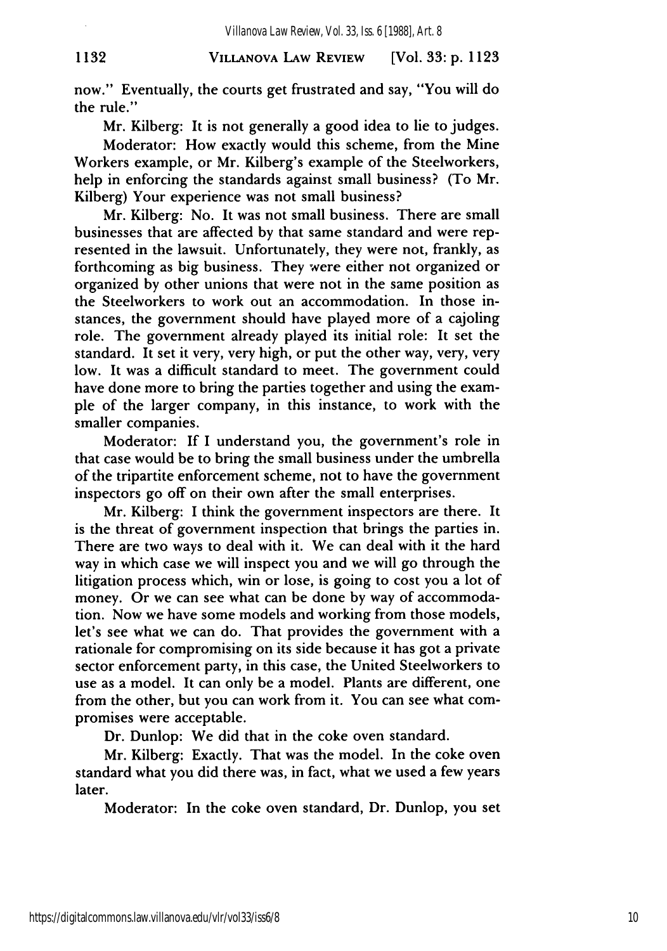## **VILLANOVA LAW REVIEW 1132** [Vol. **33: p. 1123**

now." Eventually, the courts get frustrated and say, "You will do the rule."

Mr. Kilberg: It is not generally a good idea to lie to judges.

Moderator: How exactly would this scheme, from the Mine Workers example, or Mr. Kilberg's example of the Steelworkers, help in enforcing the standards against small business? (To Mr. Kilberg) Your experience was not small business?

Mr. Kilberg: No. It was not small business. There are small businesses that are affected by that same standard and were represented in the lawsuit. Unfortunately, they were not, frankly, as forthcoming as big business. They were either not organized or organized by other unions that were not in the same position as the Steelworkers to work out an accommodation. In those instances, the government should have played more of a cajoling role. The government already played its initial role: It set the standard. It set it very, very high, or put the other way, very, very low. It was a difficult standard to meet. The government could have done more to bring the parties together and using the example of the larger company, in this instance, to work with the smaller companies.

Moderator: If I understand you, the government's role in that case would be to bring the small business under the umbrella of the tripartite enforcement scheme, not to have the government inspectors go off on their own after the small enterprises.

Mr. Kilberg: I think the government inspectors are there. It is the threat of government inspection that brings the parties in. There are two ways to deal with it. We can deal with it the hard way in which case we will inspect you and we will go through the litigation process which, win or lose, is going to cost you a lot of money. Or we can see what can be done by way of accommodation. Now we have some models and working from those models, let's see what we can do. That provides the government with a rationale for compromising on its side because it has got a private sector enforcement party, in this case, the United Steelworkers to use as a model. It can only be a model. Plants are different, one from the other, but you can work from it. You can see what compromises were acceptable.

Dr. Dunlop: We did that in the coke oven standard.

Mr. Kilberg: Exactly. That was the model. In the coke oven standard what you did there was, in fact, what we used a few years later.

Moderator: In the coke oven standard, Dr. Dunlop, you set

https://digitalcommons.law.villanova.edu/vlr/vol33/iss6/8

10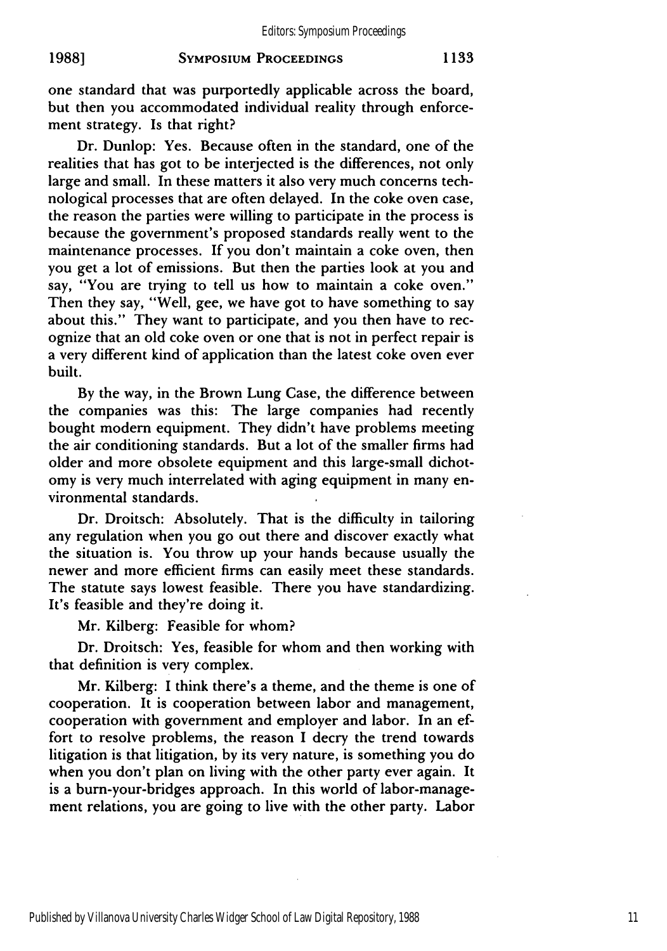one standard that was purportedly applicable across the board, but then you accommodated individual reality through enforcement strategy. Is that right?

Dr. Dunlop: Yes. Because often in the standard, one of the realities that has got to be interjected is the differences, not only large and small. In these matters it also very much concerns technological processes that are often delayed. In the coke oven case, the reason the parties were willing to participate in the process is because the government's proposed standards really went to the maintenance processes. If you don't maintain a coke oven, then you get a lot of emissions. But then the parties look at you and say, "You are trying to tell us how to maintain a coke oven." Then they say, "Well, gee, we have got to have something to say about this." They want to participate, and you then have to recognize that an old coke oven or one that is not in perfect repair is a very different kind of application than the latest coke oven ever built.

By the way, in the Brown Lung Case, the difference between the companies was this: The large companies had recently bought modern equipment. They didn't have problems meeting the air conditioning standards. But a lot of the smaller firms had older and more obsolete equipment and this large-small dichotomy is very much interrelated with aging equipment in many environmental standards.

Dr. Droitsch: Absolutely. That is the difficulty in tailoring any regulation when you go out there and discover exactly what the situation is. You throw up your hands because usually the newer and more efficient firms can easily meet these standards. The statute says lowest feasible. There you have standardizing. It's feasible and they're doing it.

Mr. Kilberg: Feasible for whom?

Dr. Droitsch: Yes, feasible for whom and then working with that definition is very complex.

Mr. Kilberg: I think there's a theme, and the theme is one of cooperation. It is cooperation between labor and management, cooperation with government and employer and labor. In an effort to resolve problems, the reason I decry the trend towards litigation is that litigation, by its very nature, is something you do when you don't plan on living with the other party ever again. It is a burn-your-bridges approach. In this world of labor-management relations, you are going to live with the other party. Labor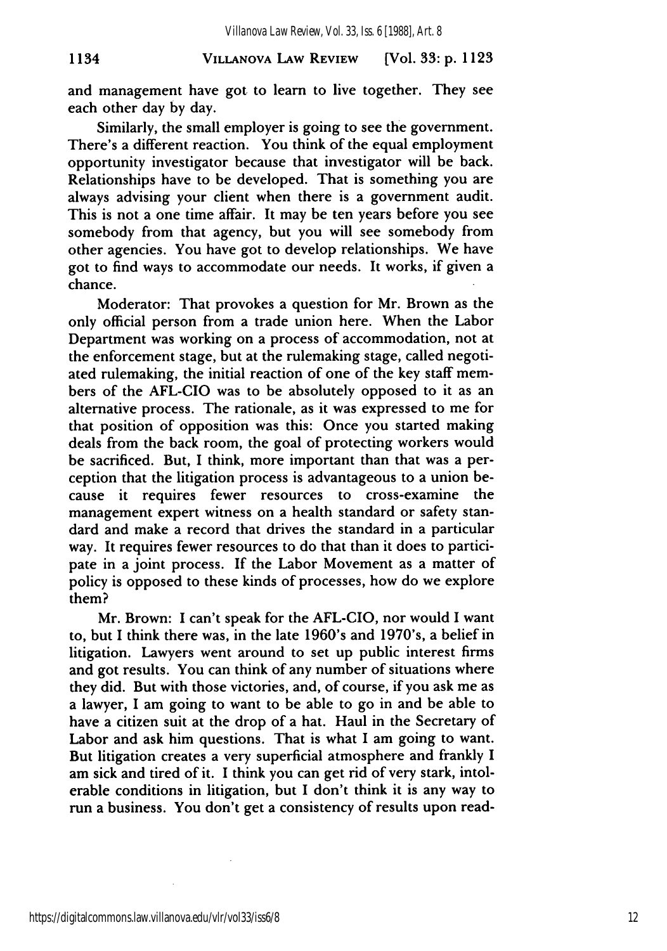## **VILLANOVA LAW REVIEW 1134 [Vol. 33: p. 1123**

and management have got to learn to live together. They see each other day by day.

Similarly, the small employer is going to see the government. There's a different reaction. You think of the equal employment opportunity investigator because that investigator will be back. Relationships have to be developed. That is something you are always advising your client when there is a government audit. This is not a one time affair. It may be ten years before you see somebody from that agency, but you will see somebody from other agencies. You have got to develop relationships. We have got to find ways to accommodate our needs. It works, if given a chance.

Moderator: That provokes a question for Mr. Brown as the only official person from a trade union here. When the Labor Department was working on a process of accommodation, not at the enforcement stage, but at the rulemaking stage, called negotiated rulemaking, the initial reaction of one of the key staff members of the AFL-CIO was to be absolutely opposed to it as an alternative process. The rationale, as it was expressed to me for that position of opposition was this: Once you started making deals from the back room, the goal of protecting workers would be sacrificed. But, I think, more important than that was a perception that the litigation process is advantageous to a union because it requires fewer resources to cross-examine the management expert witness on a health standard or safety standard and make a record that drives the standard in a particular way. It requires fewer resources to do that than it does to participate in a joint process. **If** the Labor Movement as a matter of policy is opposed to these kinds of processes, how do we explore them?

Mr. Brown: I can't speak for the AFL-CIO, nor would I want to, but I think there was, in the late 1960's and 1970's, a belief in litigation. Lawyers went around to set up public interest firms and got results. You can think of any number of situations where they did. But with those victories, and, of course, if you ask me as a lawyer, I am going to want to be able to go in and be able to have a citizen suit at the drop of a hat. Haul in the Secretary of Labor and ask him questions. That is what I am going to want. But litigation creates a very superficial atmosphere and frankly I am sick and tired of it. I think you can get rid of very stark, intolerable conditions in litigation, but I don't think it is any way to run a business. You don't get a consistency of results upon read-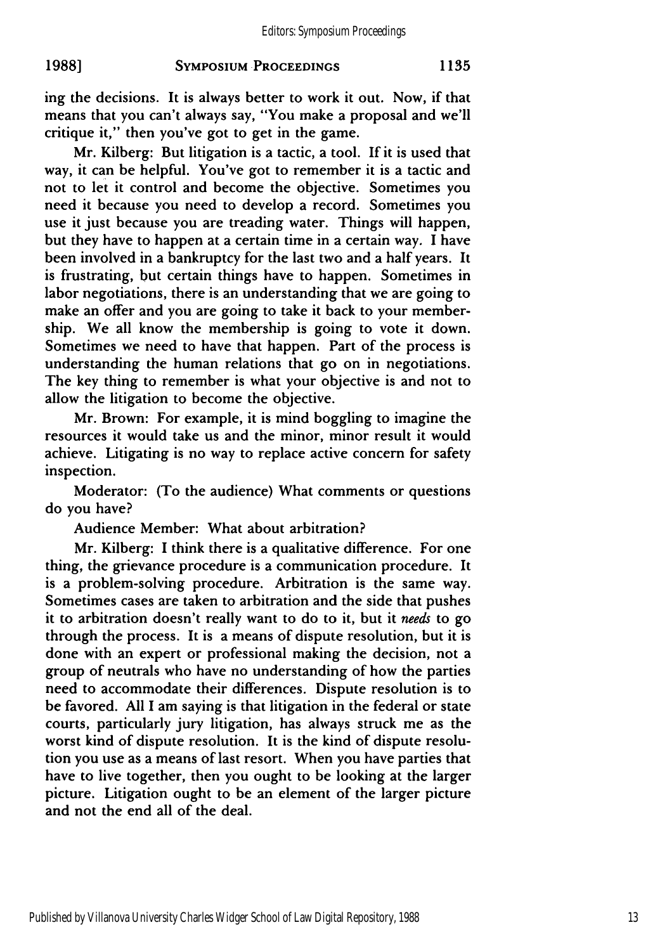ing the decisions. It is always better to work it out. Now, if that means that you can't always say, "You make a proposal and we'll critique it," then you've got to get in the game.

Mr. Kilberg: But litigation is a tactic, a tool. If it is used that way, it can be helpful. You've got to remember it is a tactic and not to let it control and become the objective. Sometimes you need it because you need to develop a record. Sometimes you use it just because you are treading water. Things will happen, but they have to happen at a certain time in a certain way. I have been involved in a bankruptcy for the last two and a half years. It is frustrating, but certain things have to happen. Sometimes in labor negotiations, there is an understanding that we are going to make an offer and you are going to take it back to your membership. We all know the membership is going to vote it down. Sometimes we need to have that happen. Part of the process is understanding the human relations that go on in negotiations. The key thing to remember is what your objective is and not to allow the litigation to become the objective.

Mr. Brown: For example, it is mind boggling to imagine the resources it would take us and the minor, minor result it would achieve. Litigating is no way to replace active concern for safety inspection.

Moderator: (To the audience) What comments or questions do you have?

Audience Member: What about arbitration?

Mr. Kilberg: I think there is a qualitative difference. For one thing, the grievance procedure is a communication procedure. It is a problem-solving procedure. Arbitration is the same way. Sometimes cases are taken to arbitration and the side that pushes it to arbitration doesn't really want to do to it, but it *needs* to go through the process. It is a means of dispute resolution, but it is done with an expert or professional making the decision, not a group of neutrals who have no understanding of how the parties need to accommodate their differences. Dispute resolution is to be favored. All I am saying is that litigation in the federal or state courts, particularly jury litigation, has always struck me as the worst kind of dispute resolution. It is the kind of dispute resolution you use as a means of last resort. When you have parties that have to live together, then you ought to be looking at the larger picture. Litigation ought to be an element of the larger picture and not the end all of the deal.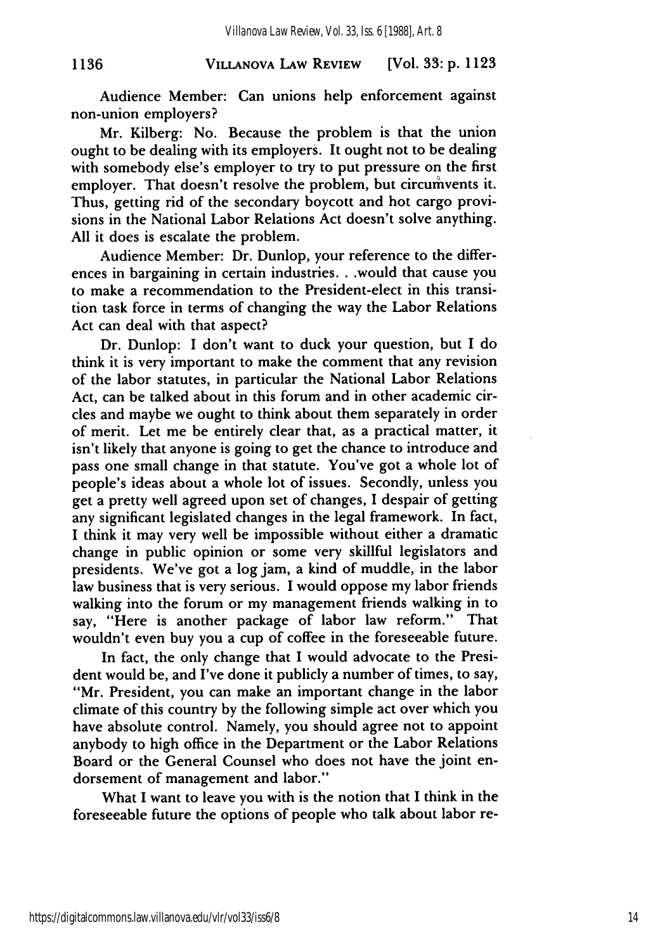#### **VILLANOVA LAW REVIEW** [Vol. **33:** p. **1123**

Audience Member: Can unions help enforcement against non-union employers?

**1136**

Mr. Kilberg: No. Because the problem is that the union ought to be dealing with its employers. It ought not to be dealing with somebody else's employer to try to put pressure on the first employer. That doesn't resolve the problem, but circumvents it. Thus, getting rid of the secondary boycott and hot cargo provisions in the National Labor Relations Act doesn't solve anything. All it does is escalate the problem.

Audience Member: Dr. Dunlop, your reference to the differences in bargaining in certain industries... would that cause you to make a recommendation to the President-elect in this transition task force in terms of changing the way the Labor Relations Act can deal with that aspect?

Dr. Dunlop: I don't want to duck your question, but I do think it is very important to make the comment that any revision of the labor statutes, in particular the National Labor Relations Act, can be talked about in this forum and in other academic circles and maybe we ought to think about them separately in order of merit. Let me be entirely clear that, as a practical matter, it isn't likely that anyone is going to get the chance to introduce and pass one small change in that statute. You've got a whole lot of people's ideas about a whole lot of issues. Secondly, unless you get a pretty well agreed upon set of changes, I despair of getting any significant legislated changes in the legal framework. In fact, I think it may very well be impossible without either a dramatic change in public opinion or some very skillful legislators and presidents. We've got a log jam, a kind of muddle, in the labor law business that is very serious. I would oppose my labor friends walking into the forum or my management friends walking in to say, "Here is another package of labor law reform." That wouldn't even buy you a cup of coffee in the foreseeable future.

In fact, the only change that I would advocate to the President would be, and I've done it publicly a number of times, to say, "Mr. President, you can make an important change in the labor climate of this country by the following simple act over which you have absolute control. Namely, you should agree not to appoint anybody to high office in the Department or the Labor Relations Board or the General Counsel who does not have the joint endorsement of management and labor."

What I want to leave you with is the notion that I think in the foreseeable future the options of people who talk about labor re-

https://digitalcommons.law.villanova.edu/vlr/vol33/iss6/8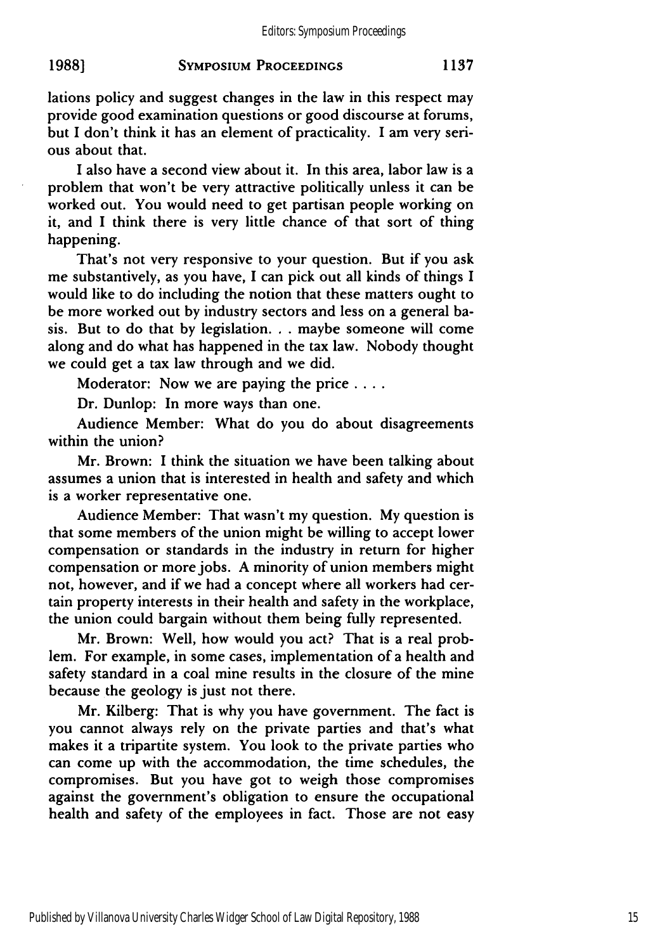lations policy and suggest changes in the law in this respect may provide good examination questions or good discourse at forums, but I don't think it has an element of practicality. I am very serious about that.

I also have a second view about it. In this area, labor law is a problem that won't be very attractive politically unless it can be worked out. You would need to get partisan people working on it, and I think there is very little chance of that sort of thing happening.

That's not very responsive to your question. But if you ask me substantively, as you have, I can pick out all kinds of things I would like to do including the notion that these matters ought to be more worked out by industry sectors and less on a general basis. But to do that by legislation. **. .** maybe someone will come along and do what has happened in the tax law. Nobody thought we could get a tax law through and we did.

Moderator: Now we are paying the price **....**

Dr. Dunlop: In more ways than one.

Audience Member: What do you do about disagreements within the union?

Mr. Brown: I think the situation we have been talking about assumes a union that is interested in health and safety and which is a worker representative one.

Audience Member: That wasn't my question. My question is that some members of the union might be willing to accept lower compensation or standards in the industry in return for higher compensation or more jobs. A minority of union members might not, however, and if we had a concept where all workers had certain property interests in their health and safety in the workplace, the union could bargain without them being fully represented.

Mr. Brown: Well, how would you act? That is a real problem. For example, in some cases, implementation of a health and safety standard in a coal mine results in the closure of the mine because the geology is just not there.

Mr. Kilberg: That is why you have government. The fact is you cannot always rely on the private parties and that's what makes it a tripartite system. You look to the private parties who can come up with the accommodation, the time schedules, the compromises. But you have got to weigh those compromises against the government's obligation to ensure the occupational health and safety of the employees in fact. Those are not easy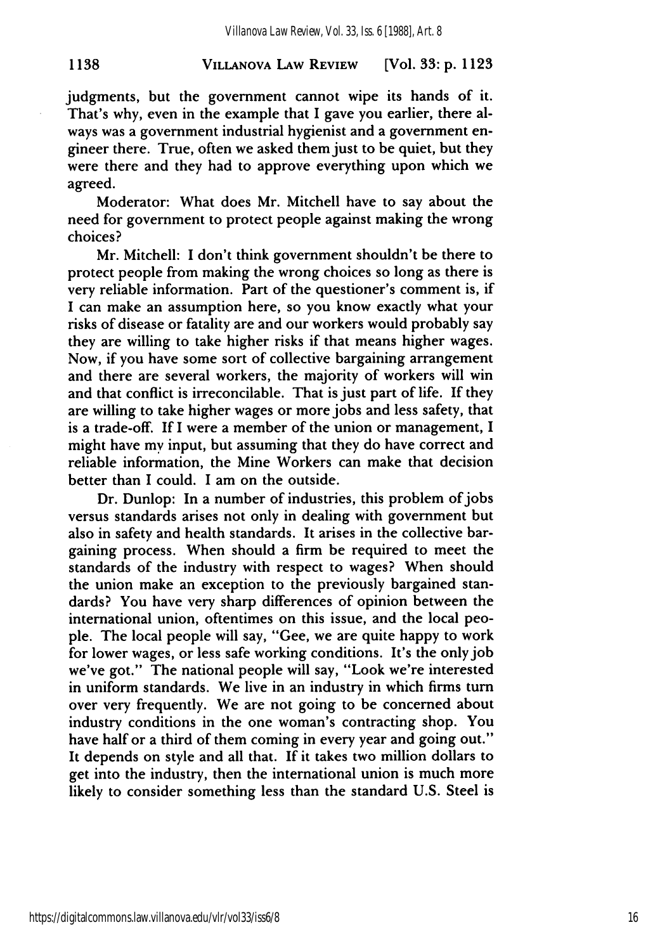#### **VILLANOVA LAW REVIEW 1138** [Vol. **33: p. 1123**

judgments, but the government cannot wipe its hands of it. That's why, even in the example that I gave you earlier, there always was a government industrial hygienist and a government engineer there. True, often we asked them just to be quiet, but they were there and they had to approve everything upon which we agreed.

Moderator: What does Mr. Mitchell have to say about the need for government to protect people against making the wrong choices?

Mr. Mitchell: I don't think government shouldn't be there to protect people from making the wrong choices so long as there is very reliable information. Part of the questioner's comment is, if I can make an assumption here, so you know exactly what your risks of disease or fatality are and our workers would probably say they are willing to take higher risks if that means higher wages. Now, if you have some sort of collective bargaining arrangement and there are several workers, the majority of workers will win and that conflict is irreconcilable. That is just part of life. **If** they are willing to take higher wages or more jobs and less safety, that is a trade-off. If I were a member of the union or management, I might have my input, but assuming that they do have correct and reliable information, the Mine Workers can make that decision better than **I** could. I am on the outside.

Dr. Dunlop: In a number of industries, this problem of jobs versus standards arises not only in dealing with government but also in safety and health standards. It arises in the collective bargaining process. When should a firm be required to meet the standards of the industry with respect to wages? When should the union make an exception to the previously bargained standards? You have very sharp differences of opinion between the international union, oftentimes on this issue, and the local people. The local people will say, "Gee, we are quite happy to work for lower wages, or less safe working conditions. It's the only job we've got." The national people will say, "Look we're interested in uniform standards. We live in an industry in which firms turn over very frequently. We are not going to be concerned about industry conditions in the one woman's contracting shop. You have half or a third of them coming in every year and going out." It depends on style and all that. If it takes two million dollars to get into the industry, then the international union is much more likely to consider something less than the standard U.S. Steel is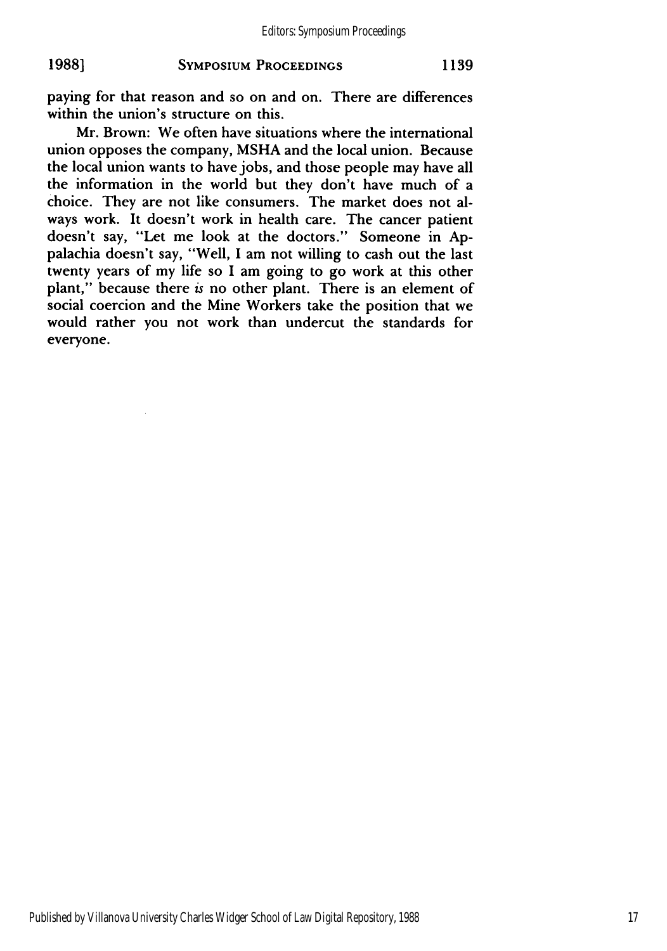#### **1988] SYMPOSIUM PROCEEDINGS 1139**

paying for that reason and so on and on. There are differences within the union's structure on this.

Mr. Brown: We often have situations where the international union opposes the company, **MSHA** and the local union. Because the local union wants to have jobs, and those people may have all the information in the world but they don't have much of a choice. They are not like consumers. The market does not always work. It doesn't work in health care. The cancer patient doesn't say, "Let me look at the doctors." Someone in **Ap**palachia doesn't say, "Well, I am not willing to cash out the last twenty years of my life so **I** am going to go work at this other plant," because there **is** no other plant. There is an element of social coercion and the Mine Workers take the position that we would rather you not work than undercut the standards for everyone.